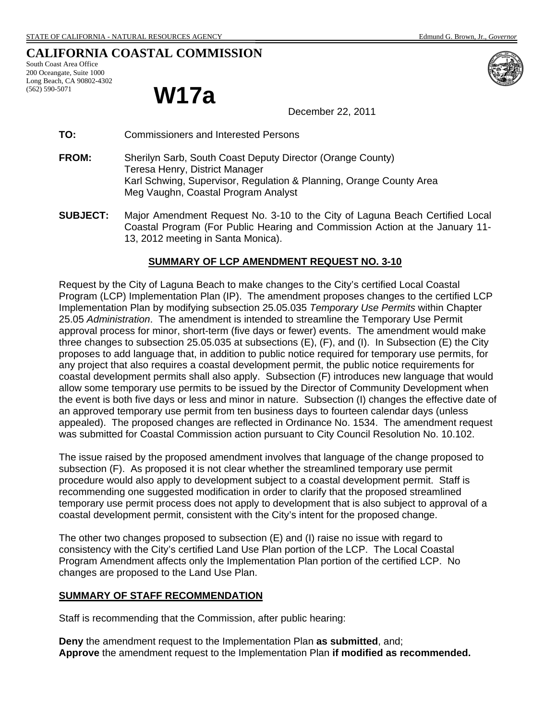# **CALIFORNIA COASTAL COMMISSION**

South Coast Area Office 200 Oceangate, Suite 1000 Long Beach, CA 90802-4302 (562) 590-5071

# **W17a**

December 22, 2011

- **TO:** Commissioners and Interested Persons
- **FROM:** Sherilyn Sarb, South Coast Deputy Director (Orange County) Teresa Henry, District Manager Karl Schwing, Supervisor, Regulation & Planning, Orange County Area Meg Vaughn, Coastal Program Analyst
- **SUBJECT:** Major Amendment Request No. 3-10 to the City of Laguna Beach Certified Local Coastal Program (For Public Hearing and Commission Action at the January 11- 13, 2012 meeting in Santa Monica).

#### **SUMMARY OF LCP AMENDMENT REQUEST NO. 3-10**

Request by the City of Laguna Beach to make changes to the City's certified Local Coastal Program (LCP) Implementation Plan (IP). The amendment proposes changes to the certified LCP Implementation Plan by modifying subsection 25.05.035 *Temporary Use Permits* within Chapter 25.05 *Administration*. The amendment is intended to streamline the Temporary Use Permit approval process for minor, short-term (five days or fewer) events. The amendment would make three changes to subsection 25.05.035 at subsections (E), (F), and (I). In Subsection (E) the City proposes to add language that, in addition to public notice required for temporary use permits, for any project that also requires a coastal development permit, the public notice requirements for coastal development permits shall also apply. Subsection (F) introduces new language that would allow some temporary use permits to be issued by the Director of Community Development when the event is both five days or less and minor in nature. Subsection (I) changes the effective date of an approved temporary use permit from ten business days to fourteen calendar days (unless appealed). The proposed changes are reflected in Ordinance No. 1534. The amendment request was submitted for Coastal Commission action pursuant to City Council Resolution No. 10.102.

The issue raised by the proposed amendment involves that language of the change proposed to subsection (F). As proposed it is not clear whether the streamlined temporary use permit procedure would also apply to development subject to a coastal development permit. Staff is recommending one suggested modification in order to clarify that the proposed streamlined temporary use permit process does not apply to development that is also subject to approval of a coastal development permit, consistent with the City's intent for the proposed change.

The other two changes proposed to subsection (E) and (I) raise no issue with regard to consistency with the City's certified Land Use Plan portion of the LCP. The Local Coastal Program Amendment affects only the Implementation Plan portion of the certified LCP. No changes are proposed to the Land Use Plan.

#### **SUMMARY OF STAFF RECOMMENDATION**

Staff is recommending that the Commission, after public hearing:

**Deny** the amendment request to the Implementation Plan **as submitted**, and; **Approve** the amendment request to the Implementation Plan **if modified as recommended.**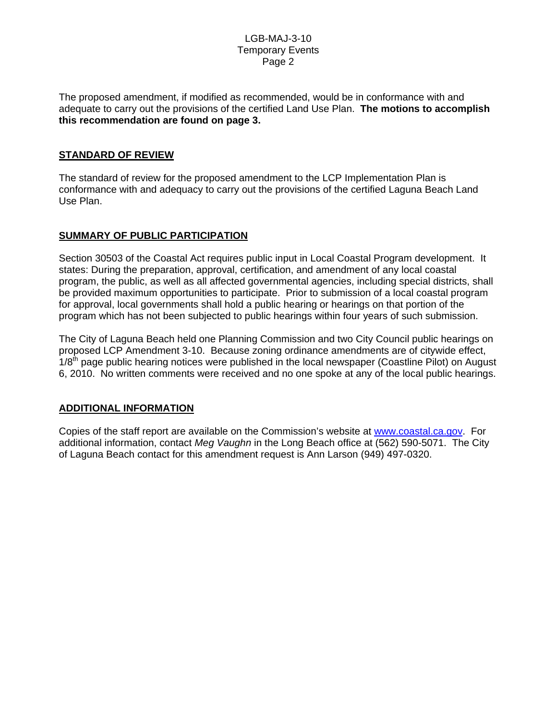The proposed amendment, if modified as recommended, would be in conformance with and adequate to carry out the provisions of the certified Land Use Plan. **The motions to accomplish this recommendation are found on page 3.**

# **STANDARD OF REVIEW**

The standard of review for the proposed amendment to the LCP Implementation Plan is conformance with and adequacy to carry out the provisions of the certified Laguna Beach Land Use Plan.

# **SUMMARY OF PUBLIC PARTICIPATION**

Section 30503 of the Coastal Act requires public input in Local Coastal Program development. It states: During the preparation, approval, certification, and amendment of any local coastal program, the public, as well as all affected governmental agencies, including special districts, shall be provided maximum opportunities to participate. Prior to submission of a local coastal program for approval, local governments shall hold a public hearing or hearings on that portion of the program which has not been subjected to public hearings within four years of such submission.

The City of Laguna Beach held one Planning Commission and two City Council public hearings on proposed LCP Amendment 3-10. Because zoning ordinance amendments are of citywide effect,  $1/8<sup>th</sup>$  page public hearing notices were published in the local newspaper (Coastline Pilot) on August 6, 2010. No written comments were received and no one spoke at any of the local public hearings.

# **ADDITIONAL INFORMATION**

Copies of the staff report are available on the Commission's website at www.coastal.ca.gov. For additional information, contact *Meg Vaughn* in the Long Beach office at (562) 590-5071. The City of Laguna Beach contact for this amendment request is Ann Larson (949) 497-0320.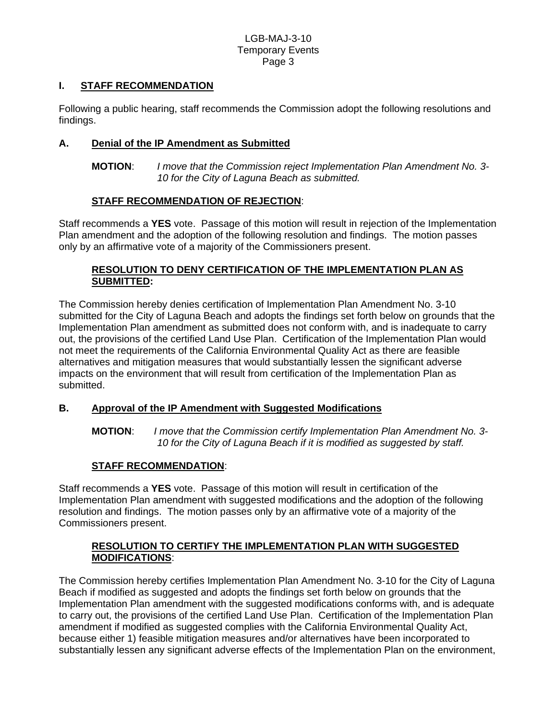# **I. STAFF RECOMMENDATION**

Following a public hearing, staff recommends the Commission adopt the following resolutions and findings.

# **A. Denial of the IP Amendment as Submitted**

**MOTION**: *I move that the Commission reject Implementation Plan Amendment No. 3- 10 for the City of Laguna Beach as submitted.* 

# **STAFF RECOMMENDATION OF REJECTION**:

Staff recommends a **YES** vote. Passage of this motion will result in rejection of the Implementation Plan amendment and the adoption of the following resolution and findings. The motion passes only by an affirmative vote of a majority of the Commissioners present.

# **RESOLUTION TO DENY CERTIFICATION OF THE IMPLEMENTATION PLAN AS SUBMITTED:**

The Commission hereby denies certification of Implementation Plan Amendment No. 3-10 submitted for the City of Laguna Beach and adopts the findings set forth below on grounds that the Implementation Plan amendment as submitted does not conform with, and is inadequate to carry out, the provisions of the certified Land Use Plan. Certification of the Implementation Plan would not meet the requirements of the California Environmental Quality Act as there are feasible alternatives and mitigation measures that would substantially lessen the significant adverse impacts on the environment that will result from certification of the Implementation Plan as submitted.

# **B. Approval of the IP Amendment with Suggested Modifications**

**MOTION**: *I move that the Commission certify Implementation Plan Amendment No. 3- 10 for the City of Laguna Beach if it is modified as suggested by staff.* 

# **STAFF RECOMMENDATION**:

Staff recommends a **YES** vote. Passage of this motion will result in certification of the Implementation Plan amendment with suggested modifications and the adoption of the following resolution and findings. The motion passes only by an affirmative vote of a majority of the Commissioners present.

# **RESOLUTION TO CERTIFY THE IMPLEMENTATION PLAN WITH SUGGESTED MODIFICATIONS**:

The Commission hereby certifies Implementation Plan Amendment No. 3-10 for the City of Laguna Beach if modified as suggested and adopts the findings set forth below on grounds that the Implementation Plan amendment with the suggested modifications conforms with, and is adequate to carry out, the provisions of the certified Land Use Plan. Certification of the Implementation Plan amendment if modified as suggested complies with the California Environmental Quality Act. because either 1) feasible mitigation measures and/or alternatives have been incorporated to substantially lessen any significant adverse effects of the Implementation Plan on the environment,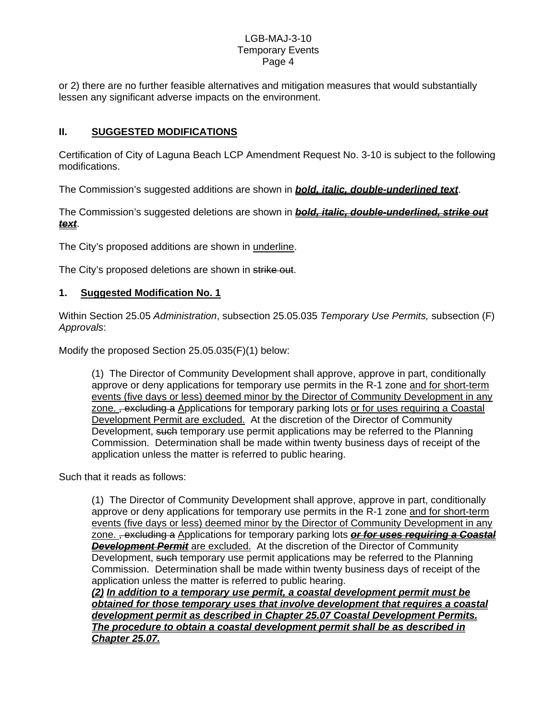or 2) there are no further feasible alternatives and mitigation measures that would substantially lessen any significant adverse impacts on the environment.

# **II. SUGGESTED MODIFICATIONS**

Certification of City of Laguna Beach LCP Amendment Request No. 3-10 is subject to the following modifications.

The Commission's suggested additions are shown in *bold, italic, double-underlined text*.

The Commission's suggested deletions are shown in *bold, italic, double-underlined, strike out text*.

The City's proposed additions are shown in underline.

The City's proposed deletions are shown in strike out.

# **1. Suggested Modification No. 1**

Within Section 25.05 *Administration*, subsection 25.05.035 *Temporary Use Permits,* subsection (F) *Approvals*:

Modify the proposed Section 25.05.035(F)(1) below:

(1) The Director of Community Development shall approve, approve in part, conditionally approve or deny applications for temporary use permits in the R-1 zone and for short-term events (five days or less) deemed minor by the Director of Community Development in any zone. <del>, excluding a</del> Applications for temporary parking lots or for uses requiring a Coastal Development Permit are excluded. At the discretion of the Director of Community Development, such temporary use permit applications may be referred to the Planning Commission. Determination shall be made within twenty business days of receipt of the application unless the matter is referred to public hearing.

Such that it reads as follows:

(1) The Director of Community Development shall approve, approve in part, conditionally approve or deny applications for temporary use permits in the R-1 zone and for short-term events (five days or less) deemed minor by the Director of Community Development in any zone. <del>, excluding a</del> Applications for temporary parking lots **or for uses requiring a Coastal** *Development Permit* are excluded. At the discretion of the Director of Community Development, such temporary use permit applications may be referred to the Planning Commission. Determination shall be made within twenty business days of receipt of the application unless the matter is referred to public hearing.

*(2) In addition to a temporary use permit, a coastal development permit must be obtained for those temporary uses that involve development that requires a coastal development permit as described in Chapter 25.07 Coastal Development Permits. The procedure to obtain a coastal development permit shall be as described in Chapter 25.07.*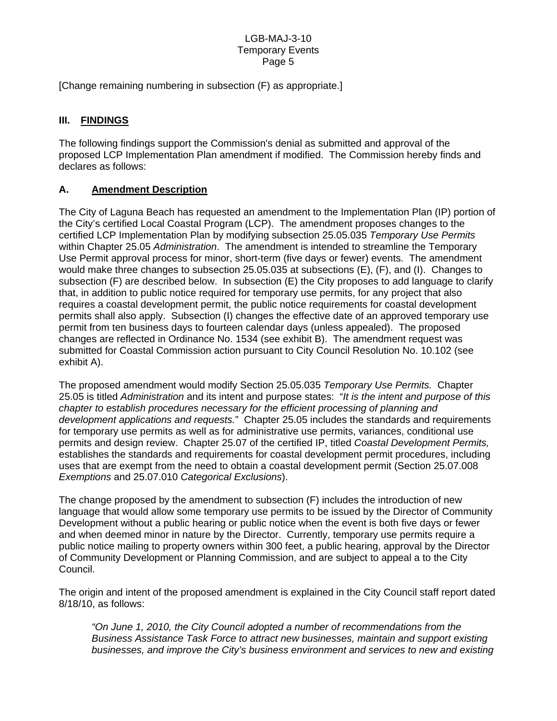[Change remaining numbering in subsection (F) as appropriate.]

# **III. FINDINGS**

The following findings support the Commission's denial as submitted and approval of the proposed LCP Implementation Plan amendment if modified. The Commission hereby finds and declares as follows:

# **A. Amendment Description**

The City of Laguna Beach has requested an amendment to the Implementation Plan (IP) portion of the City's certified Local Coastal Program (LCP). The amendment proposes changes to the certified LCP Implementation Plan by modifying subsection 25.05.035 *Temporary Use Permits* within Chapter 25.05 *Administration*. The amendment is intended to streamline the Temporary Use Permit approval process for minor, short-term (five days or fewer) events. The amendment would make three changes to subsection 25.05.035 at subsections (E), (F), and (I). Changes to subsection (F) are described below. In subsection (E) the City proposes to add language to clarify that, in addition to public notice required for temporary use permits, for any project that also requires a coastal development permit, the public notice requirements for coastal development permits shall also apply. Subsection (I) changes the effective date of an approved temporary use permit from ten business days to fourteen calendar days (unless appealed). The proposed changes are reflected in Ordinance No. 1534 (see exhibit B). The amendment request was submitted for Coastal Commission action pursuant to City Council Resolution No. 10.102 (see exhibit A).

The proposed amendment would modify Section 25.05.035 *Temporary Use Permits.* Chapter 25.05 is titled *Administration* and its intent and purpose states: "*It is the intent and purpose of this chapter to establish procedures necessary for the efficient processing of planning and development applications and requests.*" Chapter 25.05 includes the standards and requirements for temporary use permits as well as for administrative use permits, variances, conditional use permits and design review. Chapter 25.07 of the certified IP, titled *Coastal Development Permits,* establishes the standards and requirements for coastal development permit procedures, including uses that are exempt from the need to obtain a coastal development permit (Section 25.07.008 *Exemptions* and 25.07.010 *Categorical Exclusions*).

The change proposed by the amendment to subsection (F) includes the introduction of new language that would allow some temporary use permits to be issued by the Director of Community Development without a public hearing or public notice when the event is both five days or fewer and when deemed minor in nature by the Director. Currently, temporary use permits require a public notice mailing to property owners within 300 feet, a public hearing, approval by the Director of Community Development or Planning Commission, and are subject to appeal a to the City Council.

The origin and intent of the proposed amendment is explained in the City Council staff report dated 8/18/10, as follows:

*"On June 1, 2010, the City Council adopted a number of recommendations from the Business Assistance Task Force to attract new businesses, maintain and support existing businesses, and improve the City's business environment and services to new and existing*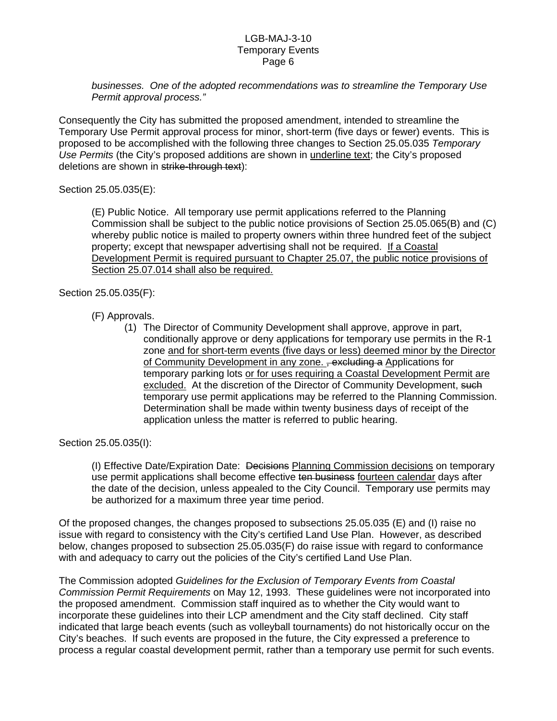*businesses. One of the adopted recommendations was to streamline the Temporary Use Permit approval process."* 

Consequently the City has submitted the proposed amendment, intended to streamline the Temporary Use Permit approval process for minor, short-term (five days or fewer) events. This is proposed to be accomplished with the following three changes to Section 25.05.035 *Temporary Use Permits* (the City's proposed additions are shown in underline text; the City's proposed deletions are shown in strike-through text):

Section 25.05.035(E):

(E) Public Notice. All temporary use permit applications referred to the Planning Commission shall be subject to the public notice provisions of Section 25.05.065(B) and (C) whereby public notice is mailed to property owners within three hundred feet of the subject property; except that newspaper advertising shall not be required. If a Coastal Development Permit is required pursuant to Chapter 25.07, the public notice provisions of Section 25.07.014 shall also be required.

Section 25.05.035(F):

# (F) Approvals.

(1) The Director of Community Development shall approve, approve in part, conditionally approve or deny applications for temporary use permits in the R-1 zone and for short-term events (five days or less) deemed minor by the Director of Community Development in any zone. <del>, excluding a</del> Applications for temporary parking lots or for uses requiring a Coastal Development Permit are excluded. At the discretion of the Director of Community Development, such temporary use permit applications may be referred to the Planning Commission. Determination shall be made within twenty business days of receipt of the application unless the matter is referred to public hearing.

Section 25.05.035(I):

(I) Effective Date/Expiration Date: Decisions Planning Commission decisions on temporary use permit applications shall become effective ten business fourteen calendar days after the date of the decision, unless appealed to the City Council. Temporary use permits may be authorized for a maximum three year time period.

Of the proposed changes, the changes proposed to subsections 25.05.035 (E) and (I) raise no issue with regard to consistency with the City's certified Land Use Plan. However, as described below, changes proposed to subsection 25.05.035(F) do raise issue with regard to conformance with and adequacy to carry out the policies of the City's certified Land Use Plan.

The Commission adopted *Guidelines for the Exclusion of Temporary Events from Coastal Commission Permit Requirements* on May 12, 1993. These guidelines were not incorporated into the proposed amendment. Commission staff inquired as to whether the City would want to incorporate these guidelines into their LCP amendment and the City staff declined. City staff indicated that large beach events (such as volleyball tournaments) do not historically occur on the City's beaches. If such events are proposed in the future, the City expressed a preference to process a regular coastal development permit, rather than a temporary use permit for such events.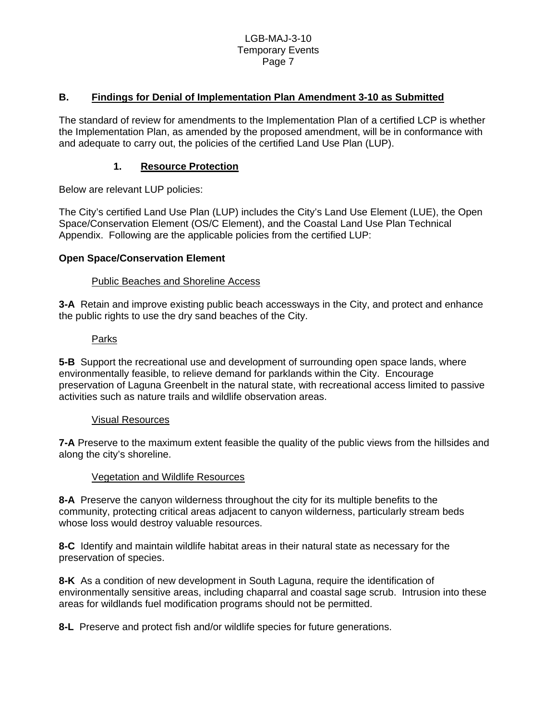## **B. Findings for Denial of Implementation Plan Amendment 3-10 as Submitted**

The standard of review for amendments to the Implementation Plan of a certified LCP is whether the Implementation Plan, as amended by the proposed amendment, will be in conformance with and adequate to carry out, the policies of the certified Land Use Plan (LUP).

#### **1. Resource Protection**

Below are relevant LUP policies:

The City's certified Land Use Plan (LUP) includes the City's Land Use Element (LUE), the Open Space/Conservation Element (OS/C Element), and the Coastal Land Use Plan Technical Appendix. Following are the applicable policies from the certified LUP:

## **Open Space/Conservation Element**

## Public Beaches and Shoreline Access

**3-A** Retain and improve existing public beach accessways in the City, and protect and enhance the public rights to use the dry sand beaches of the City.

#### Parks

**5-B** Support the recreational use and development of surrounding open space lands, where environmentally feasible, to relieve demand for parklands within the City. Encourage preservation of Laguna Greenbelt in the natural state, with recreational access limited to passive activities such as nature trails and wildlife observation areas.

#### Visual Resources

**7-A** Preserve to the maximum extent feasible the quality of the public views from the hillsides and along the city's shoreline.

#### Vegetation and Wildlife Resources

**8-A** Preserve the canyon wilderness throughout the city for its multiple benefits to the community, protecting critical areas adjacent to canyon wilderness, particularly stream beds whose loss would destroy valuable resources.

**8-C** Identify and maintain wildlife habitat areas in their natural state as necessary for the preservation of species.

**8-K** As a condition of new development in South Laguna, require the identification of environmentally sensitive areas, including chaparral and coastal sage scrub. Intrusion into these areas for wildlands fuel modification programs should not be permitted.

**8-L** Preserve and protect fish and/or wildlife species for future generations.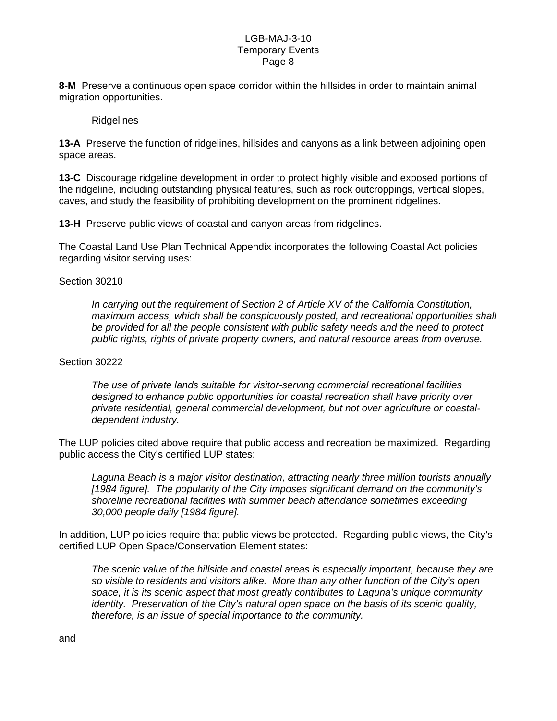**8-M** Preserve a continuous open space corridor within the hillsides in order to maintain animal migration opportunities.

#### Ridgelines

**13-A** Preserve the function of ridgelines, hillsides and canyons as a link between adjoining open space areas.

**13-C** Discourage ridgeline development in order to protect highly visible and exposed portions of the ridgeline, including outstanding physical features, such as rock outcroppings, vertical slopes, caves, and study the feasibility of prohibiting development on the prominent ridgelines.

**13-H** Preserve public views of coastal and canyon areas from ridgelines.

The Coastal Land Use Plan Technical Appendix incorporates the following Coastal Act policies regarding visitor serving uses:

#### Section 30210

*In carrying out the requirement of Section 2 of Article XV of the California Constitution, maximum access, which shall be conspicuously posted, and recreational opportunities shall be provided for all the people consistent with public safety needs and the need to protect public rights, rights of private property owners, and natural resource areas from overuse.* 

#### Section 30222

*The use of private lands suitable for visitor-serving commercial recreational facilities designed to enhance public opportunities for coastal recreation shall have priority over private residential, general commercial development, but not over agriculture or coastaldependent industry.* 

The LUP policies cited above require that public access and recreation be maximized. Regarding public access the City's certified LUP states:

*Laguna Beach is a major visitor destination, attracting nearly three million tourists annually [1984 figure]. The popularity of the City imposes significant demand on the community's shoreline recreational facilities with summer beach attendance sometimes exceeding 30,000 people daily [1984 figure].* 

In addition, LUP policies require that public views be protected. Regarding public views, the City's certified LUP Open Space/Conservation Element states:

*The scenic value of the hillside and coastal areas is especially important, because they are so visible to residents and visitors alike. More than any other function of the City's open space, it is its scenic aspect that most greatly contributes to Laguna's unique community identity. Preservation of the City's natural open space on the basis of its scenic quality, therefore, is an issue of special importance to the community.*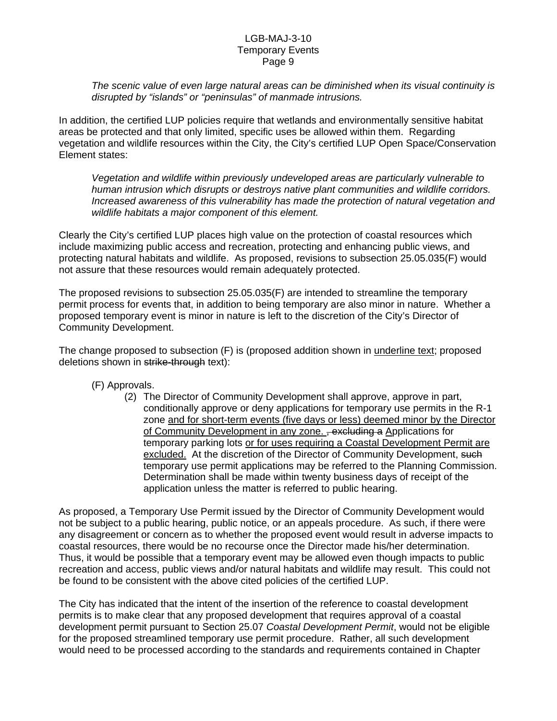*The scenic value of even large natural areas can be diminished when its visual continuity is disrupted by "islands" or "peninsulas" of manmade intrusions.* 

In addition, the certified LUP policies require that wetlands and environmentally sensitive habitat areas be protected and that only limited, specific uses be allowed within them. Regarding vegetation and wildlife resources within the City, the City's certified LUP Open Space/Conservation Element states:

*Vegetation and wildlife within previously undeveloped areas are particularly vulnerable to human intrusion which disrupts or destroys native plant communities and wildlife corridors. Increased awareness of this vulnerability has made the protection of natural vegetation and wildlife habitats a major component of this element.* 

Clearly the City's certified LUP places high value on the protection of coastal resources which include maximizing public access and recreation, protecting and enhancing public views, and protecting natural habitats and wildlife. As proposed, revisions to subsection 25.05.035(F) would not assure that these resources would remain adequately protected.

The proposed revisions to subsection 25.05.035(F) are intended to streamline the temporary permit process for events that, in addition to being temporary are also minor in nature. Whether a proposed temporary event is minor in nature is left to the discretion of the City's Director of Community Development.

The change proposed to subsection (F) is (proposed addition shown in underline text; proposed deletions shown in strike-through text):

(F) Approvals.

(2) The Director of Community Development shall approve, approve in part, conditionally approve or deny applications for temporary use permits in the R-1 zone and for short-term events (five days or less) deemed minor by the Director of Community Development in any zone. , excluding a Applications for temporary parking lots or for uses requiring a Coastal Development Permit are excluded. At the discretion of the Director of Community Development, such temporary use permit applications may be referred to the Planning Commission. Determination shall be made within twenty business days of receipt of the application unless the matter is referred to public hearing.

As proposed, a Temporary Use Permit issued by the Director of Community Development would not be subject to a public hearing, public notice, or an appeals procedure. As such, if there were any disagreement or concern as to whether the proposed event would result in adverse impacts to coastal resources, there would be no recourse once the Director made his/her determination. Thus, it would be possible that a temporary event may be allowed even though impacts to public recreation and access, public views and/or natural habitats and wildlife may result. This could not be found to be consistent with the above cited policies of the certified LUP.

The City has indicated that the intent of the insertion of the reference to coastal development permits is to make clear that any proposed development that requires approval of a coastal development permit pursuant to Section 25.07 *Coastal Development Permit*, would not be eligible for the proposed streamlined temporary use permit procedure. Rather, all such development would need to be processed according to the standards and requirements contained in Chapter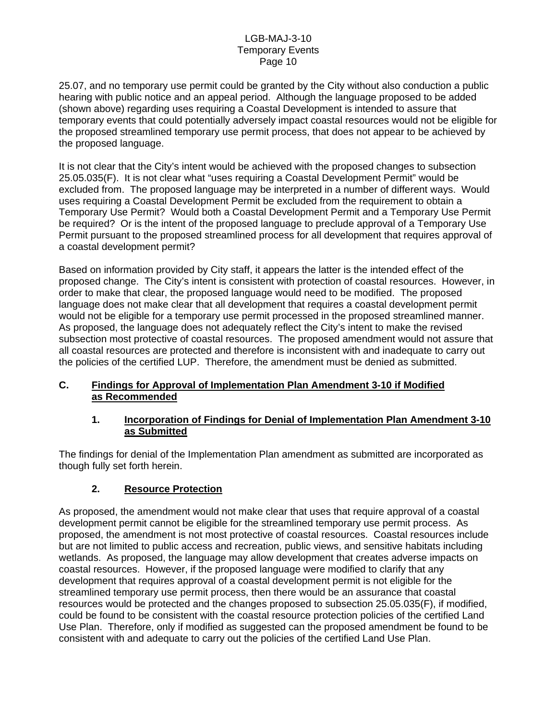25.07, and no temporary use permit could be granted by the City without also conduction a public hearing with public notice and an appeal period. Although the language proposed to be added (shown above) regarding uses requiring a Coastal Development is intended to assure that temporary events that could potentially adversely impact coastal resources would not be eligible for the proposed streamlined temporary use permit process, that does not appear to be achieved by the proposed language.

It is not clear that the City's intent would be achieved with the proposed changes to subsection 25.05.035(F). It is not clear what "uses requiring a Coastal Development Permit" would be excluded from. The proposed language may be interpreted in a number of different ways. Would uses requiring a Coastal Development Permit be excluded from the requirement to obtain a Temporary Use Permit? Would both a Coastal Development Permit and a Temporary Use Permit be required? Or is the intent of the proposed language to preclude approval of a Temporary Use Permit pursuant to the proposed streamlined process for all development that requires approval of a coastal development permit?

Based on information provided by City staff, it appears the latter is the intended effect of the proposed change. The City's intent is consistent with protection of coastal resources. However, in order to make that clear, the proposed language would need to be modified. The proposed language does not make clear that all development that requires a coastal development permit would not be eligible for a temporary use permit processed in the proposed streamlined manner. As proposed, the language does not adequately reflect the City's intent to make the revised subsection most protective of coastal resources. The proposed amendment would not assure that all coastal resources are protected and therefore is inconsistent with and inadequate to carry out the policies of the certified LUP. Therefore, the amendment must be denied as submitted.

# **C. Findings for Approval of Implementation Plan Amendment 3-10 if Modified as Recommended**

# **1. Incorporation of Findings for Denial of Implementation Plan Amendment 3-10 as Submitted**

The findings for denial of the Implementation Plan amendment as submitted are incorporated as though fully set forth herein.

# **2. Resource Protection**

As proposed, the amendment would not make clear that uses that require approval of a coastal development permit cannot be eligible for the streamlined temporary use permit process. As proposed, the amendment is not most protective of coastal resources. Coastal resources include but are not limited to public access and recreation, public views, and sensitive habitats including wetlands. As proposed, the language may allow development that creates adverse impacts on coastal resources. However, if the proposed language were modified to clarify that any development that requires approval of a coastal development permit is not eligible for the streamlined temporary use permit process, then there would be an assurance that coastal resources would be protected and the changes proposed to subsection 25.05.035(F), if modified, could be found to be consistent with the coastal resource protection policies of the certified Land Use Plan. Therefore, only if modified as suggested can the proposed amendment be found to be consistent with and adequate to carry out the policies of the certified Land Use Plan.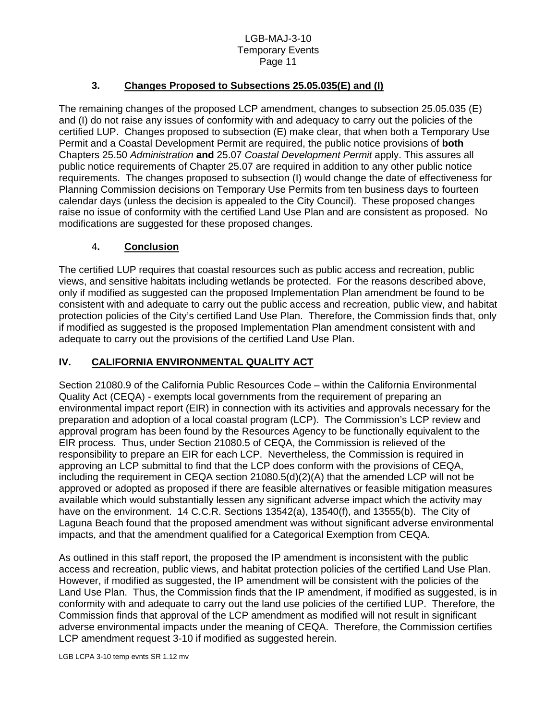# **3. Changes Proposed to Subsections 25.05.035(E) and (I)**

The remaining changes of the proposed LCP amendment, changes to subsection 25.05.035 (E) and (I) do not raise any issues of conformity with and adequacy to carry out the policies of the certified LUP. Changes proposed to subsection (E) make clear, that when both a Temporary Use Permit and a Coastal Development Permit are required, the public notice provisions of **both**  Chapters 25.50 *Administration* **and** 25.07 *Coastal Development Permit* apply. This assures all public notice requirements of Chapter 25.07 are required in addition to any other public notice requirements. The changes proposed to subsection (I) would change the date of effectiveness for Planning Commission decisions on Temporary Use Permits from ten business days to fourteen calendar days (unless the decision is appealed to the City Council). These proposed changes raise no issue of conformity with the certified Land Use Plan and are consistent as proposed. No modifications are suggested for these proposed changes.

# 4**. Conclusion**

The certified LUP requires that coastal resources such as public access and recreation, public views, and sensitive habitats including wetlands be protected. For the reasons described above, only if modified as suggested can the proposed Implementation Plan amendment be found to be consistent with and adequate to carry out the public access and recreation, public view, and habitat protection policies of the City's certified Land Use Plan. Therefore, the Commission finds that, only if modified as suggested is the proposed Implementation Plan amendment consistent with and adequate to carry out the provisions of the certified Land Use Plan.

# **IV. CALIFORNIA ENVIRONMENTAL QUALITY ACT**

Section 21080.9 of the California Public Resources Code – within the California Environmental Quality Act (CEQA) - exempts local governments from the requirement of preparing an environmental impact report (EIR) in connection with its activities and approvals necessary for the preparation and adoption of a local coastal program (LCP). The Commission's LCP review and approval program has been found by the Resources Agency to be functionally equivalent to the EIR process. Thus, under Section 21080.5 of CEQA, the Commission is relieved of the responsibility to prepare an EIR for each LCP. Nevertheless, the Commission is required in approving an LCP submittal to find that the LCP does conform with the provisions of CEQA, including the requirement in CEQA section 21080.5(d)(2)(A) that the amended LCP will not be approved or adopted as proposed if there are feasible alternatives or feasible mitigation measures available which would substantially lessen any significant adverse impact which the activity may have on the environment. 14 C.C.R. Sections 13542(a), 13540(f), and 13555(b). The City of Laguna Beach found that the proposed amendment was without significant adverse environmental impacts, and that the amendment qualified for a Categorical Exemption from CEQA.

As outlined in this staff report, the proposed the IP amendment is inconsistent with the public access and recreation, public views, and habitat protection policies of the certified Land Use Plan. However, if modified as suggested, the IP amendment will be consistent with the policies of the Land Use Plan. Thus, the Commission finds that the IP amendment, if modified as suggested, is in conformity with and adequate to carry out the land use policies of the certified LUP. Therefore, the Commission finds that approval of the LCP amendment as modified will not result in significant adverse environmental impacts under the meaning of CEQA. Therefore, the Commission certifies LCP amendment request 3-10 if modified as suggested herein.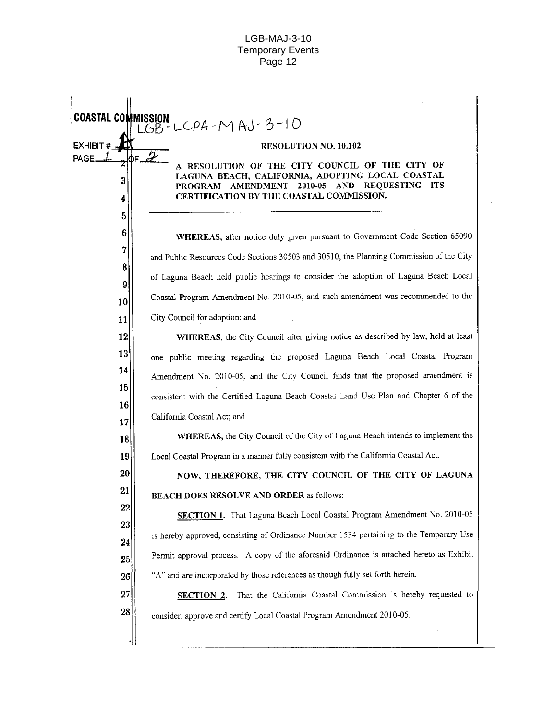**COASTAL COMMISSION** MISSION<br>LGB-LCPA-MAJ-3-10 EXHIBIT # RESOLUTION NO. 10.102 J PAGE. ስድ A RESOLUTION OF THE CITY COUNCIL OF THE CITY OF LAGUNA BEACH, CALIFORNIA, ADOPTING LOCAL COASTAL 3 PROGRAM AMENDMENT 2010-05 AND REQUESTING ITS CERTIFICATION BY THE COASTAL COMMISSION. 4 5 6 **WHEREAS**, after notice duly given pursuant to Government Code Section 65090 7 and Public Resources Code Sections 30503 and 30510, the Planning Commission of the City 8 of Laguna Beach held public hearings to consider the adoption of Laguna Beach Local 9 Coastal Program Amendment No. 2010-05, and such amendment was recommended to the 10 City Council for adoption; and  $11$ WHEREAS, the City Council after giving notice as described by law, held at least  $12$  $|13|$ one public meeting regarding the proposed Laguna Beach Local Coastal Program 14 Amendment No. 2010-05, and the City Council finds that the proposed amendment is 15 consistent with the Certified Laguna Beach Coastal Land Use Plan and Chapter 6 of the 16 California Coastal Act; and 17 WHEREAS, the City Council of the City of Laguna Beach intends to implement the 18 Local Coastal Program in a manner fully consistent with the California Coastal Act. 19 20 NOW, THEREFORE, THE CITY COUNCIL OF THE CITY OF LAGUNA 21 BEACH DOES RESOLVE AND ORDER as follows:  $22$ SECTION 1. That Laguna Beach Local Coastal Program Amendment No. 2010-05 23 is hereby approved, consisting of Ordinance Number 1534 pertaining to the Temporary Use 24 Permit approval process. A copy of the aforesaid Ordinance is attached hereto as Exhibit  $25<sub>1</sub>$ "A" and are incorporated by those references as though fully set forth herein.  $26\vert$ 27 SECTION 2. That the California Coastal Commission is hereby requested to 28 consider, approve and certify Local Coastal Program Amendment 2010-05.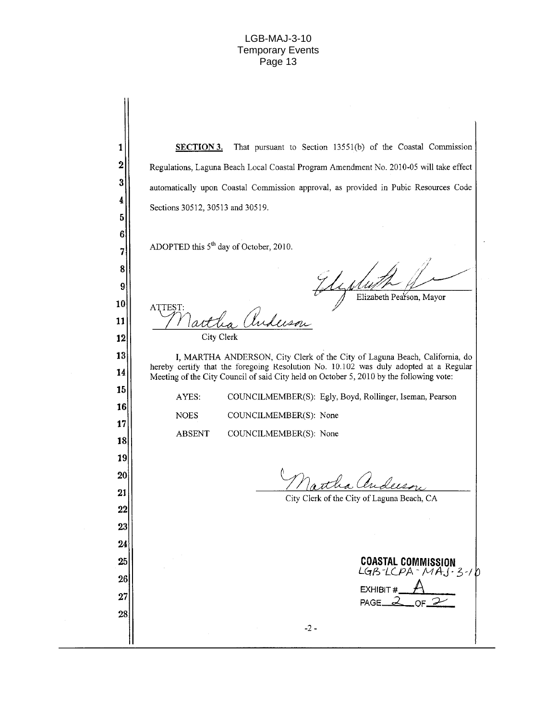| SECTION 3.                       | That pursuant to Section 13551(b) of the Coastal Commission                                                                                                                                                                                                    |
|----------------------------------|----------------------------------------------------------------------------------------------------------------------------------------------------------------------------------------------------------------------------------------------------------------|
|                                  | Regulations, Laguna Beach Local Coastal Program Amendment No. 2010-05 will take effect                                                                                                                                                                         |
|                                  | automatically upon Coastal Commission approval, as provided in Pubic Resources Code                                                                                                                                                                            |
| Sections 30512, 30513 and 30519. |                                                                                                                                                                                                                                                                |
|                                  |                                                                                                                                                                                                                                                                |
|                                  | ADOPTED this $5th$ day of October, 2010.                                                                                                                                                                                                                       |
| ATTEST:                          | Elizabeth Pearson, Mayor<br>Anderson                                                                                                                                                                                                                           |
|                                  | City Clerk                                                                                                                                                                                                                                                     |
|                                  | I, MARTHA ANDERSON, City Clerk of the City of Laguna Beach, California, do<br>hereby certify that the foregoing Resolution No. 10.102 was duly adopted at a Regular<br>Meeting of the City Council of said City held on October 5, 2010 by the following vote: |
| AYES:                            | COUNCILMEMBER(S): Egly, Boyd, Rollinger, Iseman, Pearson                                                                                                                                                                                                       |
| <b>NOES</b>                      | COUNCILMEMBER(S): None                                                                                                                                                                                                                                         |
| <b>ABSENT</b>                    | COUNCILMEMBER(S): None                                                                                                                                                                                                                                         |
|                                  | City Clerk of the City of Laguna Beach, CA                                                                                                                                                                                                                     |
|                                  |                                                                                                                                                                                                                                                                |
|                                  | <b>COASTAL COMMISSION</b>                                                                                                                                                                                                                                      |
|                                  | $LGB-LCPA - MAJ-3-1D$                                                                                                                                                                                                                                          |
|                                  | EXHIBIT#<br>$\sim$ OF $\approx$<br>PAGE $2$                                                                                                                                                                                                                    |
|                                  |                                                                                                                                                                                                                                                                |
|                                  |                                                                                                                                                                                                                                                                |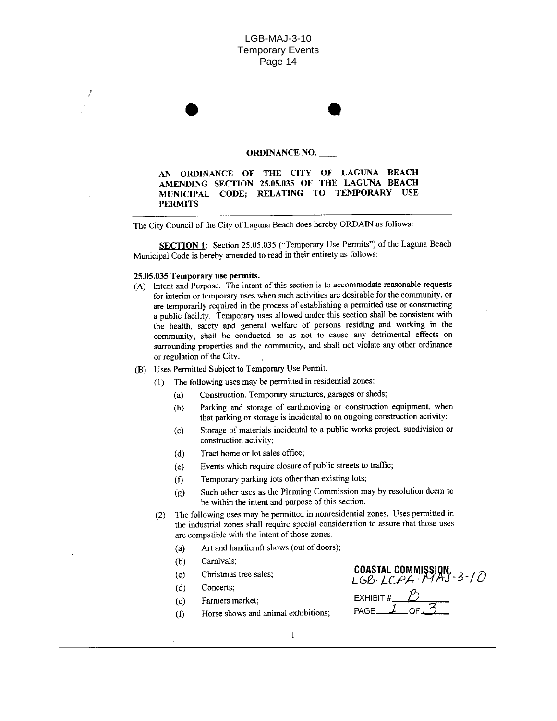#### **ORDINANCE NO.**

AN ORDINANCE OF THE CITY OF LAGUNA BEACH AMENDING SECTION 25.05.035 OF THE LAGUNA BEACH MUNICIPAL CODE; RELATING TO TEMPORARY USE **PERMITS** 

The City Council of the City of Laguna Beach does hereby ORDAIN as follows:

SECTION 1: Section 25.05.035 ("Temporary Use Permits") of the Laguna Beach Municipal Code is hereby amended to read in their entirety as follows:

#### 25.05.035 Temporary use permits.

- (A) Intent and Purpose. The intent of this section is to accommodate reasonable requests for interim or temporary uses when such activities are desirable for the community, or are temporarily required in the process of establishing a permitted use or constructing a public facility. Temporary uses allowed under this section shall be consistent with the health, safety and general welfare of persons residing and working in the community, shall be conducted so as not to cause any detrimental effects on surrounding properties and the community, and shall not violate any other ordinance or regulation of the City.
- (B) Uses Permitted Subject to Temporary Use Permit.
	- (1) The following uses may be permitted in residential zones:
		- Construction. Temporary structures, garages or sheds;  $(a)$
		- Parking and storage of earthmoving or construction equipment, when  $(b)$ that parking or storage is incidental to an ongoing construction activity;
		- Storage of materials incidental to a public works project, subdivision or  $(c)$ construction activity;
		- Tract home or lot sales office;  $(d)$
		- Events which require closure of public streets to traffic;  $(e)$
		- Temporary parking lots other than existing lots;  $(f)$
		- Such other uses as the Planning Commission may by resolution deem to  $(g)$ be within the intent and purpose of this section.
	- The following uses may be permitted in nonresidential zones. Uses permitted in  $(2)$ the industrial zones shall require special consideration to assure that those uses are compatible with the intent of those zones.
		- Art and handicraft shows (out of doors);  $(a)$
		- $(b)$ Carnivals;
		- $(c)$ Christmas tree sales;
		- $(d)$ Concerts;
		- Farmers market;  $(e)$
		- Horse shows and animal exhibitions;  $(f)$

COASTAL COMMISSION<br>LGB-LCPA MAJ-3-10 EXHIBIT  $#$  \_\_\_ PAGE\_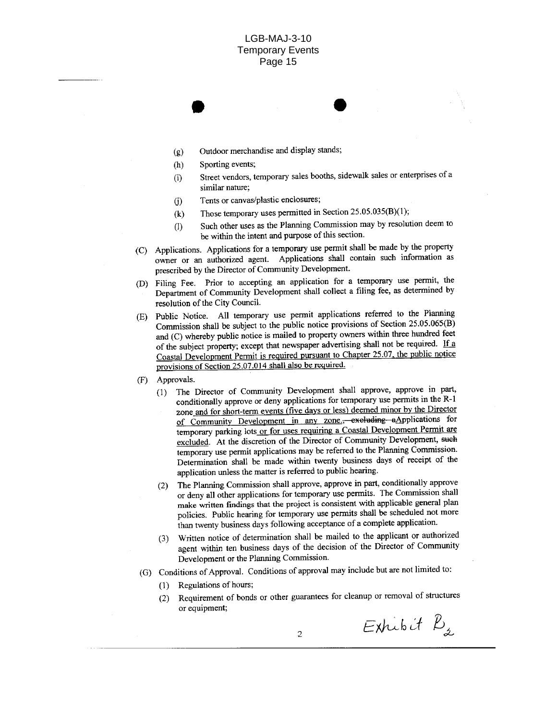- Outdoor merchandise and display stands;  $(g)$
- Sporting events;  $(h)$
- Street vendors, temporary sales booths, sidewalk sales or enterprises of a  $(i)$ similar nature;
- Tents or canvas/plastic enclosures;  $(i)$
- Those temporary uses permitted in Section 25.05.035(B)(1);  $(k)$
- Such other uses as the Planning Commission may by resolution deem to  $(1)$ be within the intent and purpose of this section.
- (C) Applications. Applications for a temporary use permit shall be made by the property owner or an authorized agent. Applications shall contain such information as prescribed by the Director of Community Development.
- (D) Filing Fee. Prior to accepting an application for a temporary use permit, the Department of Community Development shall collect a filing fee, as determined by resolution of the City Council.
- Public Notice. All temporary use permit applications referred to the Planning (E) Commission shall be subject to the public notice provisions of Section 25.05.065(B) and (C) whereby public notice is mailed to property owners within three hundred feet of the subject property; except that newspaper advertising shall not be required. If a Coastal Development Permit is required pursuant to Chapter 25.07, the public notice provisions of Section 25.07.014 shall also be required.
- Approvals.  $(F)$ 
	- The Director of Community Development shall approve, approve in part,  $(1)$ conditionally approve or deny applications for temporary use permits in the R-1 zone and for short-term events (five days or less) deemed minor by the Director of Community Development in any zone., excluding aApplications for temporary parking lots or for uses requiring a Coastal Development Permit are excluded. At the discretion of the Director of Community Development, such temporary use permit applications may be referred to the Planning Commission. Determination shall be made within twenty business days of receipt of the application unless the matter is referred to public hearing.
	- The Planning Commission shall approve, approve in part, conditionally approve  $(2)$ or deny all other applications for temporary use permits. The Commission shall make written findings that the project is consistent with applicable general plan policies. Public hearing for temporary use permits shall be scheduled not more than twenty business days following acceptance of a complete application.
	- Written notice of determination shall be mailed to the applicant or authorized  $(3)$ agent within ten business days of the decision of the Director of Community Development or the Planning Commission.
- (G) Conditions of Approval. Conditions of approval may include but are not limited to:
	- Regulations of hours;  $(1)$
	- Requirement of bonds or other guarantees for cleanup or removal of structures  $(2)$ or equipment;

 $Exhibit B<sub>2</sub>$